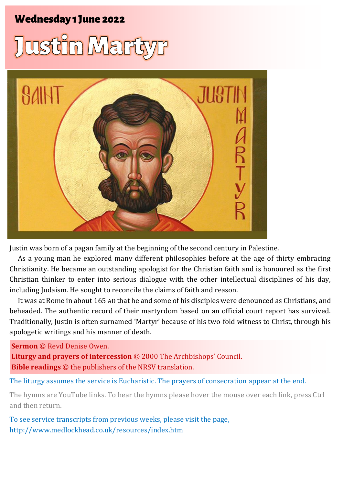### Wednesday 1 Wednesday 1 June 2022 <sup>1</sup> **Justin Martyr** June 2022

# ustin Mart



Justin was born of a pagan family at the beginning of the second century in Palestine.

As a young man he explored many different philosophies before at the age of thirty embracing Christianity. He became an outstanding apologist for the Christian faith and is honoured as the first Christian thinker to enter into serious dialogue with the other intellectual disciplines of his day, including Judaism. He sought to reconcile the claims of faith and reason.

It was at Rome in about 165 AD that he and some of his disciples were denounced as Christians, and beheaded. The authentic record of their martyrdom based on an official court report has survived. Traditionally, Justin is often surnamed 'Martyr' because of his two-fold witness to Christ, through his apologetic writings and his manner of death.

**Sermon** © Revd Denise Owen.

**Liturgy and prayers of intercession** © 2000 The Archbishops' Council. **Bible readings** © the publishers of the NRSV translation.

The liturgy assumes the service is Eucharistic. The prayers of consecration appear at the end.

The hymns are YouTube links. To hear the hymns please hover the mouse over each link, press Ctrl and then return.

To see service transcripts from previous weeks, please visit the page, <http://www.medlockhead.co.uk/resources/index.htm>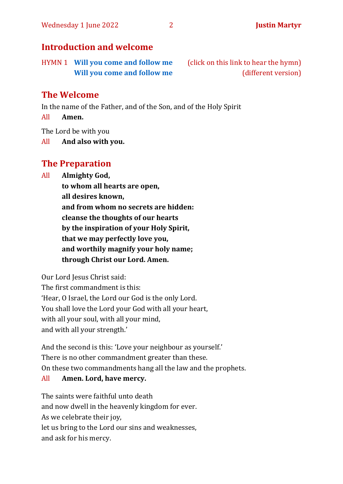#### **Introduction and welcome**

| HYMN 1 Will you come and follow me | (click on this link to hear the hymn) |
|------------------------------------|---------------------------------------|
| Will you come and follow me        | (different version)                   |

#### **The Welcome**

In the name of the Father, and of the Son, and of the Holy Spirit

All **Amen.**

The Lord be with you

All **And also with you.**

#### **The Preparation**

All **Almighty God,**

**to whom all hearts are open, all desires known, and from whom no secrets are hidden: cleanse the thoughts of our hearts by the inspiration of your Holy Spirit, that we may perfectly love you, and worthily magnify your holy name; through Christ our Lord. Amen.**

Our Lord Jesus Christ said: The first commandment is this: 'Hear, O Israel, the Lord our God is the only Lord. You shall love the Lord your God with all your heart, with all your soul, with all your mind, and with all your strength.'

And the second is this: 'Love your neighbour as yourself.' There is no other commandment greater than these. On these two commandments hang all the law and the prophets.

#### All **Amen. Lord, have mercy.**

The saints were faithful unto death and now dwell in the heavenly kingdom for ever. As we celebrate their joy, let us bring to the Lord our sins and weaknesses, and ask for his mercy.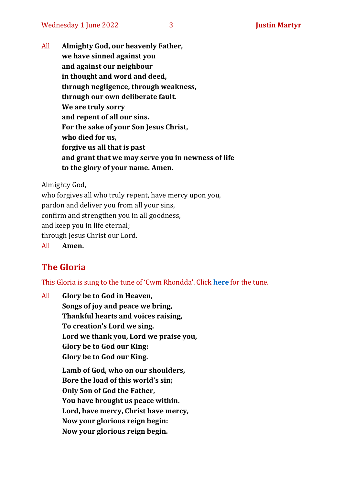All **Almighty God, our heavenly Father, we have sinned against you and against our neighbour in thought and word and deed, through negligence, through weakness, through our own deliberate fault. We are truly sorry and repent of all our sins. For the sake of your Son Jesus Christ, who died for us, forgive us all that is past and grant that we may serve you in newness of life to the glory of your name. Amen.**

Almighty God,

who forgives all who truly repent, have mercy upon you, pardon and deliver you from all your sins, confirm and strengthen you in all goodness, and keep you in life eternal; through Jesus Christ our Lord. All **Amen.**

### **The Gloria**

This Gloria is sung to the tune of 'Cwm Rhondda'. Click **[here](https://www.youtube.com/watch?v=l71MLQ22dIk)** for the tune.

All **Glory be to God in Heaven, Songs of joy and peace we bring, Thankful hearts and voices raising, To creation's Lord we sing. Lord we thank you, Lord we praise you, Glory be to God our King: Glory be to God our King. Lamb of God, who on our shoulders, Bore the load of this world's sin; Only Son of God the Father, You have brought us peace within. Lord, have mercy, Christ have mercy, Now your glorious reign begin: Now your glorious reign begin.**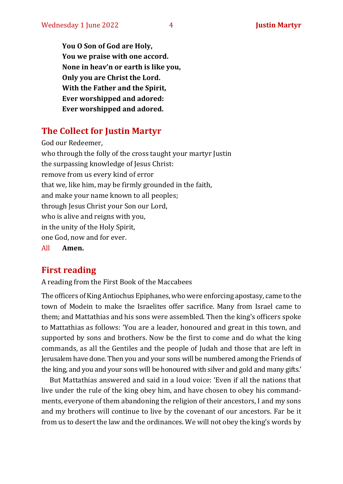**You O Son of God are Holy, You we praise with one accord. None in heav'n or earth is like you, Only you are Christ the Lord. With the Father and the Spirit, Ever worshipped and adored: Ever worshipped and adored.**

#### **The Collect for Justin Martyr**

God our Redeemer, who through the folly of the cross taught your martyr Justin the surpassing knowledge of Jesus Christ: remove from us every kind of error that we, like him, may be firmly grounded in the faith, and make your name known to all peoples; through Jesus Christ your Son our Lord, who is alive and reigns with you, in the unity of the Holy Spirit, one God, now and for ever. All **Amen.**

#### **First reading**

A reading from the First Book of the Maccabees

The officers of King Antiochus Epiphanes, who were enforcing apostasy, came to the town of Modein to make the Israelites offer sacrifice. Many from Israel came to them; and Mattathias and his sons were assembled. Then the king's officers spoke to Mattathias as follows: 'You are a leader, honoured and great in this town, and supported by sons and brothers. Now be the first to come and do what the king commands, as all the Gentiles and the people of Judah and those that are left in Jerusalem have done. Then you and your sons will be numbered among the Friends of the king, and you and your sons will be honoured with silver and gold and many gifts.'

But Mattathias answered and said in a loud voice: 'Even if all the nations that live under the rule of the king obey him, and have chosen to obey his commandments, everyone of them abandoning the religion of their ancestors, I and my sons and my brothers will continue to live by the covenant of our ancestors. Far be it from us to desert the law and the ordinances. We will not obey the king's words by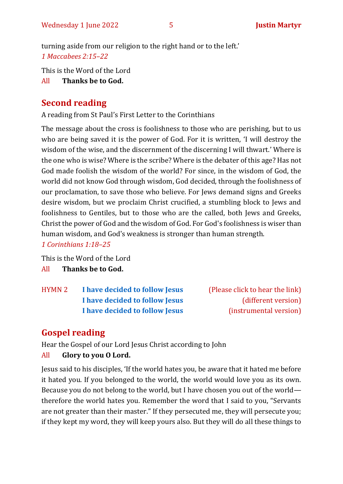turning aside from our religion to the right hand or to the left.' *1 Maccabees 2:15–22*

This is the Word of the Lord

All **Thanks be to God.**

#### **Second reading**

A reading from St Paul's First Letter to the Corinthians

The message about the cross is foolishness to those who are perishing, but to us who are being saved it is the power of God. For it is written, 'I will destroy the wisdom of the wise, and the discernment of the discerning I will thwart.' Where is the one who is wise? Where is the scribe? Where is the debater of this age? Has not God made foolish the wisdom of the world? For since, in the wisdom of God, the world did not know God through wisdom, God decided, through the foolishness of our proclamation, to save those who believe. For Jews demand signs and Greeks desire wisdom, but we proclaim Christ crucified, a stumbling block to Jews and foolishness to Gentiles, but to those who are the called, both Jews and Greeks, Christ the power of God and the wisdom of God. For God's foolishness is wiser than human wisdom, and God's weakness is stronger than human strength. *1 Corinthians 1:18–25*

This is the Word of the Lord All **Thanks be to God.**

HYMN 2 **[I have decided to follow Jesus](https://www.youtube.com/watch?v=yBcr7GUJvxI)** (Please click to hear the link) **[I have decided to follow Jesus](https://www.youtube.com/watch?v=Zb0AQgDtWVQ)** (different version) **[I have decided to follow Jesus](https://www.youtube.com/watch?v=2TJioSia_TQ)** (instrumental version)

### **Gospel reading**

Hear the Gospel of our Lord Jesus Christ according to John

#### All **Glory to you O Lord.**

Jesus said to his disciples, 'If the world hates you, be aware that it hated me before it hated you. If you belonged to the world, the world would love you as its own. Because you do not belong to the world, but I have chosen you out of the world therefore the world hates you. Remember the word that I said to you, "Servants are not greater than their master." If they persecuted me, they will persecute you; if they kept my word, they will keep yours also. But they will do all these things to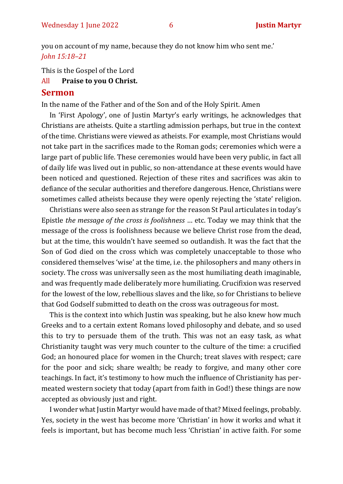you on account of my name, because they do not know him who sent me.' *John 15:18–21*

This is the Gospel of the Lord

#### All **Praise to you O Christ.**

#### **Sermon**

In the name of the Father and of the Son and of the Holy Spirit. Amen

In 'First Apology', one of Justin Martyr's early writings, he acknowledges that Christians are atheists. Quite a startling admission perhaps, but true in the context of the time. Christians were viewed as atheists. For example, most Christians would not take part in the sacrifices made to the Roman gods; ceremonies which were a large part of public life. These ceremonies would have been very public, in fact all of daily life was lived out in public, so non-attendance at these events would have been noticed and questioned. Rejection of these rites and sacrifices was akin to defiance of the secular authorities and therefore dangerous. Hence, Christians were sometimes called atheists because they were openly rejecting the 'state' religion.

Christians were also seen as strange for the reason St Paul articulates in today's Epistle *the message of the cross is foolishness* … etc. Today we may think that the message of the cross is foolishness because we believe Christ rose from the dead, but at the time, this wouldn't have seemed so outlandish. It was the fact that the Son of God died on the cross which was completely unacceptable to those who considered themselves 'wise' at the time, i.e. the philosophers and many others in society. The cross was universally seen as the most humiliating death imaginable, and was frequently made deliberately more humiliating. Crucifixion was reserved for the lowest of the low, rebellious slaves and the like, so for Christians to believe that God Godself submitted to death on the cross was outrageous for most.

This is the context into which Justin was speaking, but he also knew how much Greeks and to a certain extent Romans loved philosophy and debate, and so used this to try to persuade them of the truth. This was not an easy task, as what Christianity taught was very much counter to the culture of the time: a crucified God; an honoured place for women in the Church; treat slaves with respect; care for the poor and sick; share wealth; be ready to forgive, and many other core teachings. In fact, it's testimony to how much the influence of Christianity has permeated western society that today (apart from faith in God!) these things are now accepted as obviously just and right.

I wonder what Justin Martyr would have made of that? Mixed feelings, probably. Yes, society in the west has become more 'Christian' in how it works and what it feels is important, but has become much less 'Christian' in active faith. For some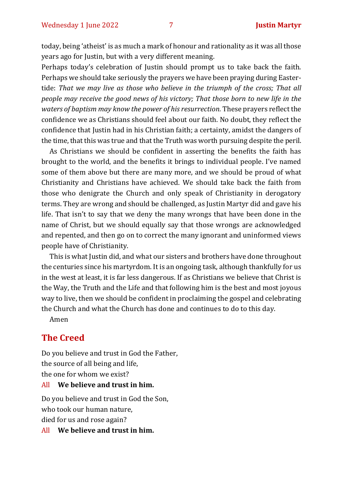today, being 'atheist' is as much a mark of honour and rationality as it was all those years ago for Justin, but with a very different meaning.

Perhaps today's celebration of Justin should prompt us to take back the faith. Perhaps we should take seriously the prayers we have been praying during Eastertide: *That we may live as those who believe in the triumph of the cross; That all people may receive the good news of his victory; That those born to new life in the waters of baptism may know the power of his resurrection.* These prayers reflect the confidence we as Christians should feel about our faith. No doubt, they reflect the confidence that Justin had in his Christian faith; a certainty, amidst the dangers of the time, that this was true and that the Truth was worth pursuing despite the peril.

As Christians we should be confident in asserting the benefits the faith has brought to the world, and the benefits it brings to individual people. I've named some of them above but there are many more, and we should be proud of what Christianity and Christians have achieved. We should take back the faith from those who denigrate the Church and only speak of Christianity in derogatory terms. They are wrong and should be challenged, as Justin Martyr did and gave his life. That isn't to say that we deny the many wrongs that have been done in the name of Christ, but we should equally say that those wrongs are acknowledged and repented, and then go on to correct the many ignorant and uninformed views people have of Christianity.

This is what Justin did, and what our sisters and brothers have done throughout the centuries since his martyrdom. It is an ongoing task, although thankfully for us in the west at least, it is far less dangerous. If as Christians we believe that Christ is the Way, the Truth and the Life and that following him is the best and most joyous way to live, then we should be confident in proclaiming the gospel and celebrating the Church and what the Church has done and continues to do to this day.

Amen

#### **The Creed**

Do you believe and trust in God the Father, the source of all being and life, the one for whom we exist?

#### All **We believe and trust in him.**

Do you believe and trust in God the Son, who took our human nature, died for us and rose again?

#### All **We believe and trust in him.**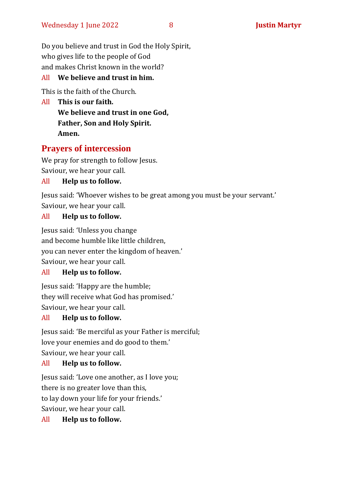Do you believe and trust in God the Holy Spirit, who gives life to the people of God and makes Christ known in the world?

#### All **We believe and trust in him.**

This is the faith of the Church.

All **This is our faith. We believe and trust in one God, Father, Son and Holy Spirit. Amen.**

#### **Prayers of intercession**

We pray for strength to follow Jesus. Saviour, we hear your call.

#### All **Help us to follow.**

Jesus said: 'Whoever wishes to be great among you must be your servant.' Saviour, we hear your call.

#### All **Help us to follow.**

Jesus said: 'Unless you change and become humble like little children, you can never enter the kingdom of heaven.' Saviour, we hear your call.

#### All **Help us to follow.**

Jesus said: 'Happy are the humble; they will receive what God has promised.' Saviour, we hear your call.

#### All **Help us to follow.**

Jesus said: 'Be merciful as your Father is merciful; love your enemies and do good to them.' Saviour, we hear your call.

#### All **Help us to follow.**

Jesus said: 'Love one another, as I love you; there is no greater love than this, to lay down your life for your friends.' Saviour, we hear your call.

#### All **Help us to follow.**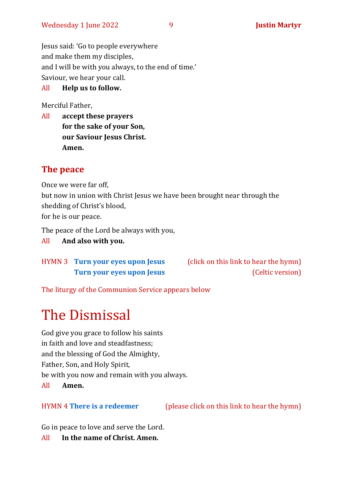Jesus said: 'Go to people everywhere and make them my disciples, and I will be with you always, to the end of time.' Saviour, we hear your call.

#### All **Help us to follow.**

Merciful Father,

All **accept these prayers for the sake of your Son, our Saviour Jesus Christ. Amen.**

#### **The peace**

Once we were far off,

but now in union with Christ Jesus we have been brought near through the shedding of Christ's blood,

for he is our peace.

The peace of the Lord be always with you,

All **And also with you.**

HYMN 3 **[Turn your eyes upon Jesus](https://youtu.be/zTZtKoAwf0U)** (click on this link to hear the hymn)

**[Turn your eyes upon Jesus](https://www.youtube.com/watch?v=2M958SHs1Qc)** (Celtic version)

The liturgy of the Communion Service appears below

# The Dismissal

God give you grace to follow his saints in faith and love and steadfastness; and the blessing of God the Almighty, Father, Son, and Holy Spirit, be with you now and remain with you always.

All **Amen.**

HYMN 4 **[There is a redeemer](https://www.youtube.com/watch?v=2M958SHs1Qc)** (please click on this link to hear the hymn)

Go in peace to love and serve the Lord.

All **In the name of Christ. Amen.**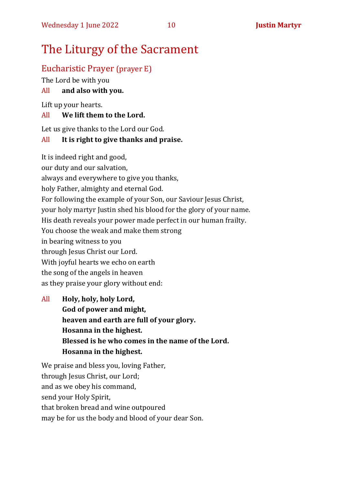## The Liturgy of the Sacrament

#### Eucharistic Prayer (prayer E)

The Lord be with you

#### All **and also with you.**

Lift up your hearts.

#### All **We lift them to the Lord.**

Let us give thanks to the Lord our God.

#### All **It is right to give thanks and praise.**

It is indeed right and good, our duty and our salvation, always and everywhere to give you thanks, holy Father, almighty and eternal God. For following the example of your Son, our Saviour Jesus Christ, your holy martyr Justin shed his blood for the glory of your name. His death reveals your power made perfect in our human frailty. You choose the weak and make them strong in bearing witness to you through Jesus Christ our Lord. With joyful hearts we echo on earth the song of the angels in heaven as they praise your glory without end:

All **Holy, holy, holy Lord, God of power and might, heaven and earth are full of your glory. Hosanna in the highest. Blessed is he who comes in the name of the Lord. Hosanna in the highest.**

We praise and bless you, loving Father, through Jesus Christ, our Lord; and as we obey his command, send your Holy Spirit, that broken bread and wine outpoured may be for us the body and blood of your dear Son.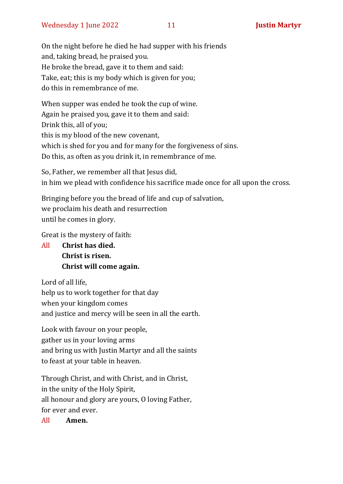On the night before he died he had supper with his friends and, taking bread, he praised you. He broke the bread, gave it to them and said: Take, eat; this is my body which is given for you; do this in remembrance of me.

When supper was ended he took the cup of wine. Again he praised you, gave it to them and said: Drink this, all of you; this is my blood of the new covenant, which is shed for you and for many for the forgiveness of sins. Do this, as often as you drink it, in remembrance of me.

So, Father, we remember all that Jesus did, in him we plead with confidence his sacrifice made once for all upon the cross.

Bringing before you the bread of life and cup of salvation, we proclaim his death and resurrection until he comes in glory.

Great is the mystery of faith:

All **Christ has died. Christ is risen. Christ will come again.**

Lord of all life, help us to work together for that day when your kingdom comes and justice and mercy will be seen in all the earth.

Look with favour on your people, gather us in your loving arms and bring us with Justin Martyr and all the saints to feast at your table in heaven.

Through Christ, and with Christ, and in Christ, in the unity of the Holy Spirit, all honour and glory are yours, O loving Father, for ever and ever.

All **Amen.**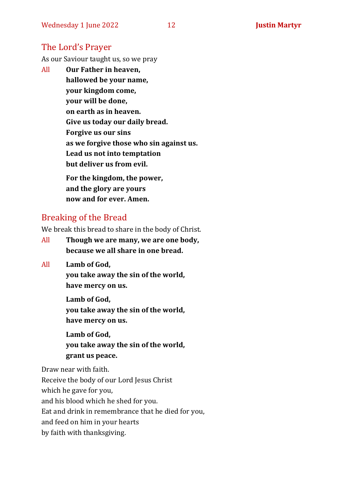#### The Lord's Prayer

As our Saviour taught us, so we pray

All **Our Father in heaven, hallowed be your name, your kingdom come, your will be done, on earth as in heaven. Give us today our daily bread. Forgive us our sins as we forgive those who sin against us. Lead us not into temptation but deliver us from evil. For the kingdom, the power,** 

**and the glory are yours now and for ever. Amen.**

#### Breaking of the Bread

We break this bread to share in the body of Christ.

- All **Though we are many, we are one body, because we all share in one bread.**
- All **Lamb of God,**

**you take away the sin of the world, have mercy on us.**

**Lamb of God, you take away the sin of the world, have mercy on us.**

**Lamb of God, you take away the sin of the world, grant us peace.**

Draw near with faith.

Receive the body of our Lord Jesus Christ

which he gave for you,

and his blood which he shed for you.

Eat and drink in remembrance that he died for you,

and feed on him in your hearts

by faith with thanksgiving.